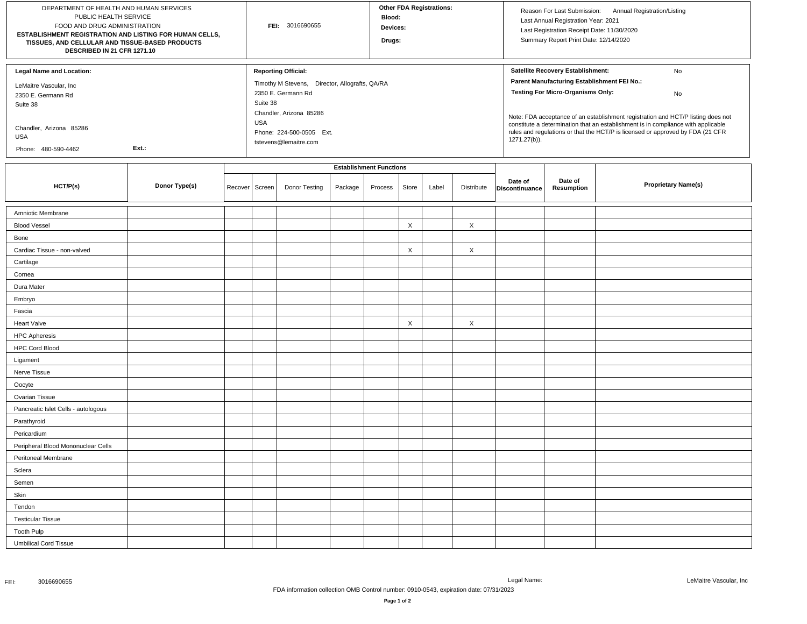| DEPARTMENT OF HEALTH AND HUMAN SERVICES<br>PUBLIC HEALTH SERVICE<br>FOOD AND DRUG ADMINISTRATION<br>ESTABLISHMENT REGISTRATION AND LISTING FOR HUMAN CELLS,<br>TISSUES, AND CELLULAR AND TISSUE-BASED PRODUCTS<br>DESCRIBED IN 21 CFR 1271.10 |               |         | FEI: 3016690655                |                                                                                                                                                                                                              |         |         | <b>Other FDA Registrations:</b><br>Blood:<br>Devices:<br>Drugs: |       |            |                           | Reason For Last Submission: Annual Registration/Listing<br>Last Annual Registration Year: 2021<br>Last Registration Receipt Date: 11/30/2020<br>Summary Report Print Date: 12/14/2020                                                                                                                                                                                                                               |                            |  |
|-----------------------------------------------------------------------------------------------------------------------------------------------------------------------------------------------------------------------------------------------|---------------|---------|--------------------------------|--------------------------------------------------------------------------------------------------------------------------------------------------------------------------------------------------------------|---------|---------|-----------------------------------------------------------------|-------|------------|---------------------------|---------------------------------------------------------------------------------------------------------------------------------------------------------------------------------------------------------------------------------------------------------------------------------------------------------------------------------------------------------------------------------------------------------------------|----------------------------|--|
| <b>Legal Name and Location:</b><br>LeMaitre Vascular, Inc<br>2350 E. Germann Rd<br>Suite 38<br>Chandler, Arizona 85286<br>USA<br>Ext.:<br>Phone: 480-590-4462                                                                                 |               |         |                                | <b>Reporting Official:</b><br>Timothy M Stevens, Director, Allografts, QA/RA<br>2350 E. Germann Rd<br>Suite 38<br>Chandler, Arizona 85286<br><b>USA</b><br>Phone: 224-500-0505 Ext.<br>tstevens@lemaitre.com |         |         |                                                                 |       |            |                           | Satellite Recovery Establishment:<br>No<br>Parent Manufacturing Establishment FEI No.:<br><b>Testing For Micro-Organisms Only:</b><br>No<br>Note: FDA acceptance of an establishment registration and HCT/P listing does not<br>constitute a determination that an establishment is in compliance with applicable<br>rules and regulations or that the HCT/P is licensed or approved by FDA (21 CFR<br>1271.27(b)). |                            |  |
|                                                                                                                                                                                                                                               |               |         | <b>Establishment Functions</b> |                                                                                                                                                                                                              |         |         |                                                                 |       |            |                           |                                                                                                                                                                                                                                                                                                                                                                                                                     |                            |  |
| HCT/P(s)                                                                                                                                                                                                                                      | Donor Type(s) | Recover | Screen                         | Donor Testing                                                                                                                                                                                                | Package | Process | Store                                                           | Label | Distribute | Date of<br>Discontinuance | Date of<br>Resumption                                                                                                                                                                                                                                                                                                                                                                                               | <b>Proprietary Name(s)</b> |  |
| Amniotic Membrane                                                                                                                                                                                                                             |               |         |                                |                                                                                                                                                                                                              |         |         |                                                                 |       |            |                           |                                                                                                                                                                                                                                                                                                                                                                                                                     |                            |  |
| <b>Blood Vessel</b>                                                                                                                                                                                                                           |               |         |                                |                                                                                                                                                                                                              |         |         | $\boldsymbol{\mathsf{X}}$                                       |       | $\times$   |                           |                                                                                                                                                                                                                                                                                                                                                                                                                     |                            |  |
| Bone                                                                                                                                                                                                                                          |               |         |                                |                                                                                                                                                                                                              |         |         |                                                                 |       |            |                           |                                                                                                                                                                                                                                                                                                                                                                                                                     |                            |  |
| Cardiac Tissue - non-valved                                                                                                                                                                                                                   |               |         |                                |                                                                                                                                                                                                              |         |         | X                                                               |       | $\times$   |                           |                                                                                                                                                                                                                                                                                                                                                                                                                     |                            |  |
| Cartilage                                                                                                                                                                                                                                     |               |         |                                |                                                                                                                                                                                                              |         |         |                                                                 |       |            |                           |                                                                                                                                                                                                                                                                                                                                                                                                                     |                            |  |
| Cornea                                                                                                                                                                                                                                        |               |         |                                |                                                                                                                                                                                                              |         |         |                                                                 |       |            |                           |                                                                                                                                                                                                                                                                                                                                                                                                                     |                            |  |
| Dura Mater                                                                                                                                                                                                                                    |               |         |                                |                                                                                                                                                                                                              |         |         |                                                                 |       |            |                           |                                                                                                                                                                                                                                                                                                                                                                                                                     |                            |  |
| Embryo                                                                                                                                                                                                                                        |               |         |                                |                                                                                                                                                                                                              |         |         |                                                                 |       |            |                           |                                                                                                                                                                                                                                                                                                                                                                                                                     |                            |  |
| Fascia                                                                                                                                                                                                                                        |               |         |                                |                                                                                                                                                                                                              |         |         |                                                                 |       |            |                           |                                                                                                                                                                                                                                                                                                                                                                                                                     |                            |  |
| <b>Heart Valve</b>                                                                                                                                                                                                                            |               |         |                                |                                                                                                                                                                                                              |         |         | $\times$                                                        |       | $\times$   |                           |                                                                                                                                                                                                                                                                                                                                                                                                                     |                            |  |
| <b>HPC Apheresis</b>                                                                                                                                                                                                                          |               |         |                                |                                                                                                                                                                                                              |         |         |                                                                 |       |            |                           |                                                                                                                                                                                                                                                                                                                                                                                                                     |                            |  |
| <b>HPC Cord Blood</b>                                                                                                                                                                                                                         |               |         |                                |                                                                                                                                                                                                              |         |         |                                                                 |       |            |                           |                                                                                                                                                                                                                                                                                                                                                                                                                     |                            |  |
| Ligament                                                                                                                                                                                                                                      |               |         |                                |                                                                                                                                                                                                              |         |         |                                                                 |       |            |                           |                                                                                                                                                                                                                                                                                                                                                                                                                     |                            |  |
| Nerve Tissue                                                                                                                                                                                                                                  |               |         |                                |                                                                                                                                                                                                              |         |         |                                                                 |       |            |                           |                                                                                                                                                                                                                                                                                                                                                                                                                     |                            |  |
| Oocyte                                                                                                                                                                                                                                        |               |         |                                |                                                                                                                                                                                                              |         |         |                                                                 |       |            |                           |                                                                                                                                                                                                                                                                                                                                                                                                                     |                            |  |
| Ovarian Tissue                                                                                                                                                                                                                                |               |         |                                |                                                                                                                                                                                                              |         |         |                                                                 |       |            |                           |                                                                                                                                                                                                                                                                                                                                                                                                                     |                            |  |
| Pancreatic Islet Cells - autologous                                                                                                                                                                                                           |               |         |                                |                                                                                                                                                                                                              |         |         |                                                                 |       |            |                           |                                                                                                                                                                                                                                                                                                                                                                                                                     |                            |  |
| Parathyroid                                                                                                                                                                                                                                   |               |         |                                |                                                                                                                                                                                                              |         |         |                                                                 |       |            |                           |                                                                                                                                                                                                                                                                                                                                                                                                                     |                            |  |
| Pericardium                                                                                                                                                                                                                                   |               |         |                                |                                                                                                                                                                                                              |         |         |                                                                 |       |            |                           |                                                                                                                                                                                                                                                                                                                                                                                                                     |                            |  |
| Peripheral Blood Mononuclear Cells                                                                                                                                                                                                            |               |         |                                |                                                                                                                                                                                                              |         |         |                                                                 |       |            |                           |                                                                                                                                                                                                                                                                                                                                                                                                                     |                            |  |
| Peritoneal Membrane                                                                                                                                                                                                                           |               |         |                                |                                                                                                                                                                                                              |         |         |                                                                 |       |            |                           |                                                                                                                                                                                                                                                                                                                                                                                                                     |                            |  |
| Sclera                                                                                                                                                                                                                                        |               |         |                                |                                                                                                                                                                                                              |         |         |                                                                 |       |            |                           |                                                                                                                                                                                                                                                                                                                                                                                                                     |                            |  |
| Semen                                                                                                                                                                                                                                         |               |         |                                |                                                                                                                                                                                                              |         |         |                                                                 |       |            |                           |                                                                                                                                                                                                                                                                                                                                                                                                                     |                            |  |
| Skin                                                                                                                                                                                                                                          |               |         |                                |                                                                                                                                                                                                              |         |         |                                                                 |       |            |                           |                                                                                                                                                                                                                                                                                                                                                                                                                     |                            |  |
| Tendon                                                                                                                                                                                                                                        |               |         |                                |                                                                                                                                                                                                              |         |         |                                                                 |       |            |                           |                                                                                                                                                                                                                                                                                                                                                                                                                     |                            |  |
| <b>Testicular Tissue</b>                                                                                                                                                                                                                      |               |         |                                |                                                                                                                                                                                                              |         |         |                                                                 |       |            |                           |                                                                                                                                                                                                                                                                                                                                                                                                                     |                            |  |
| <b>Tooth Pulp</b>                                                                                                                                                                                                                             |               |         |                                |                                                                                                                                                                                                              |         |         |                                                                 |       |            |                           |                                                                                                                                                                                                                                                                                                                                                                                                                     |                            |  |
| <b>Umbilical Cord Tissue</b>                                                                                                                                                                                                                  |               |         |                                |                                                                                                                                                                                                              |         |         |                                                                 |       |            |                           |                                                                                                                                                                                                                                                                                                                                                                                                                     |                            |  |